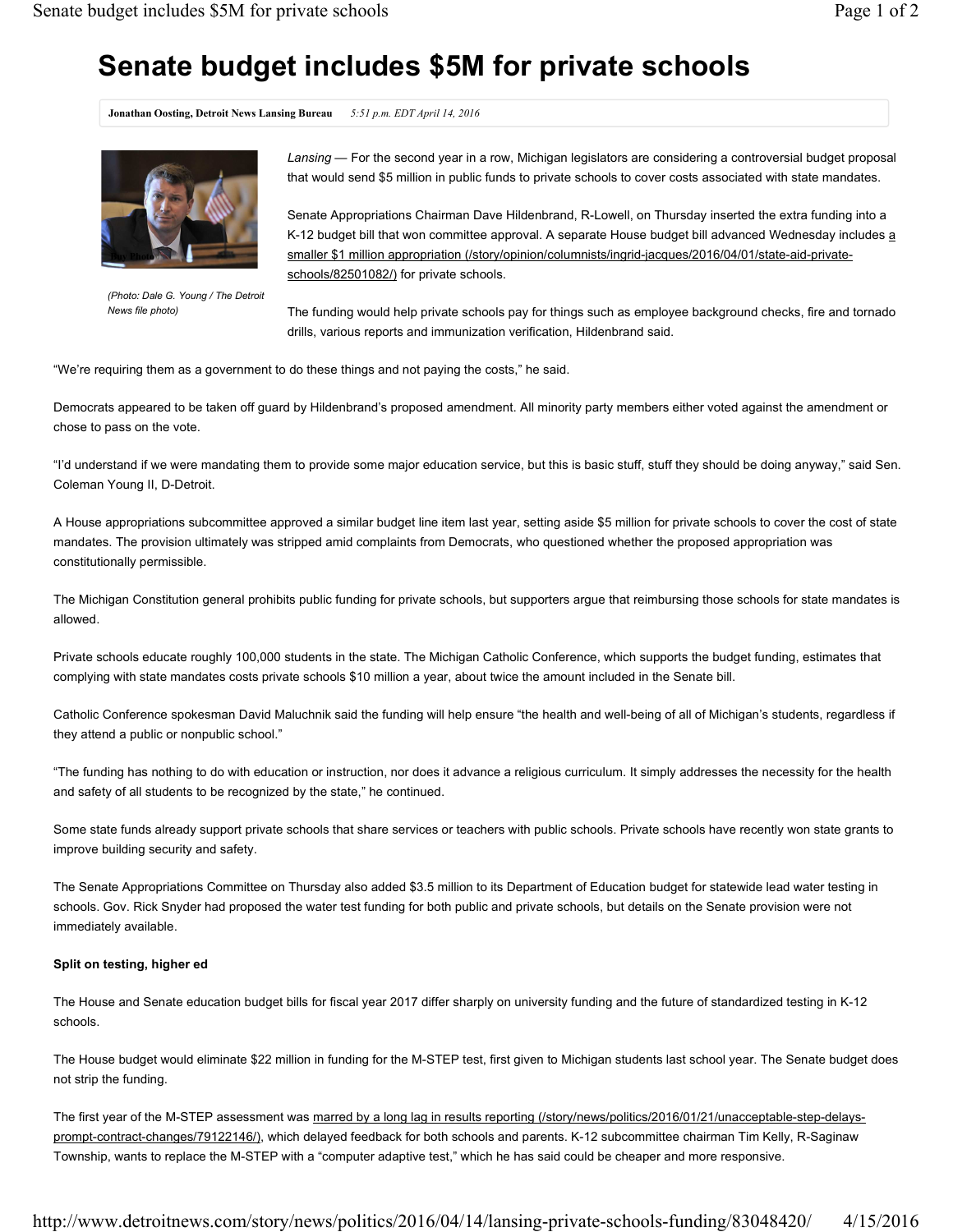## **Senate budget includes \$5M for private schools**

**Jonathan Oosting, Detroit News Lansing Bureau** *5:51 p.m. EDT April 14, 2016*



*(Photo: Dale G. Young / The Detroit News file photo)*

*Lansing* — For the second year in a row, Michigan legislators are considering a controversial budget proposal that would send \$5 million in public funds to private schools to cover costs associated with state mandates.

Senate Appropriations Chairman Dave Hildenbrand, R-Lowell, on Thursday inserted the extra funding into a K-12 budget bill that won committee approval. A separate House budget bill advanced Wednesday includes a smaller \$1 million appropriation (/story/opinion/columnists/ingrid-jacques/2016/04/01/state-aid-privateschools/82501082/) for private schools.

The funding would help private schools pay for things such as employee background checks, fire and tornado drills, various reports and immunization verification, Hildenbrand said.

"We're requiring them as a government to do these things and not paying the costs," he said.

Democrats appeared to be taken off guard by Hildenbrand's proposed amendment. All minority party members either voted against the amendment or chose to pass on the vote.

"I'd understand if we were mandating them to provide some major education service, but this is basic stuff, stuff they should be doing anyway," said Sen. Coleman Young II, D-Detroit.

A House appropriations subcommittee approved a similar budget line item last year, setting aside \$5 million for private schools to cover the cost of state mandates. The provision ultimately was stripped amid complaints from Democrats, who questioned whether the proposed appropriation was constitutionally permissible.

The Michigan Constitution general prohibits public funding for private schools, but supporters argue that reimbursing those schools for state mandates is allowed.

Private schools educate roughly 100,000 students in the state. The Michigan Catholic Conference, which supports the budget funding, estimates that complying with state mandates costs private schools \$10 million a year, about twice the amount included in the Senate bill.

Catholic Conference spokesman David Maluchnik said the funding will help ensure "the health and well-being of all of Michigan's students, regardless if they attend a public or nonpublic school."

"The funding has nothing to do with education or instruction, nor does it advance a religious curriculum. It simply addresses the necessity for the health and safety of all students to be recognized by the state," he continued.

Some state funds already support private schools that share services or teachers with public schools. Private schools have recently won state grants to improve building security and safety.

The Senate Appropriations Committee on Thursday also added \$3.5 million to its Department of Education budget for statewide lead water testing in schools. Gov. Rick Snyder had proposed the water test funding for both public and private schools, but details on the Senate provision were not immediately available.

## **Split on testing, higher ed**

The House and Senate education budget bills for fiscal year 2017 differ sharply on university funding and the future of standardized testing in K-12 schools.

The House budget would eliminate \$22 million in funding for the M-STEP test, first given to Michigan students last school year. The Senate budget does not strip the funding.

The first year of the M-STEP assessment was marred by a long lag in results reporting (/story/news/politics/2016/01/21/unacceptable-step-delaysprompt-contract-changes/79122146/), which delayed feedback for both schools and parents. K-12 subcommittee chairman Tim Kelly, R-Saginaw Township, wants to replace the M-STEP with a "computer adaptive test," which he has said could be cheaper and more responsive.